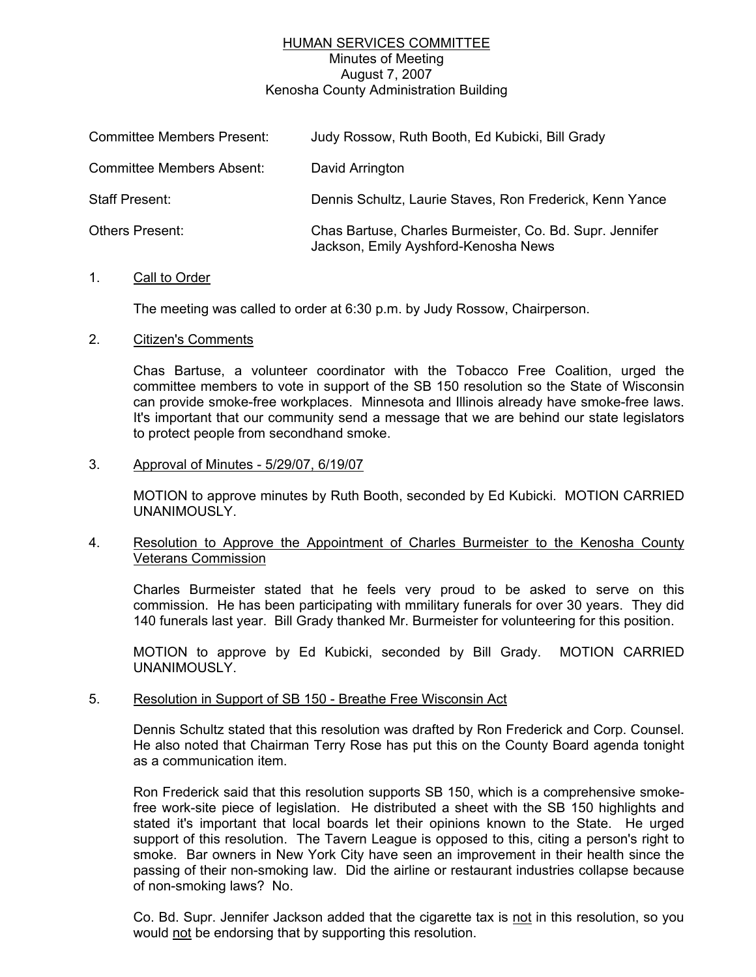# HUMAN SERVICES COMMITTEE

Minutes of Meeting August 7, 2007

Kenosha County Administration Building

| <b>Committee Members Present:</b> | Judy Rossow, Ruth Booth, Ed Kubicki, Bill Grady                                                  |
|-----------------------------------|--------------------------------------------------------------------------------------------------|
| <b>Committee Members Absent:</b>  | David Arrington                                                                                  |
| <b>Staff Present:</b>             | Dennis Schultz, Laurie Staves, Ron Frederick, Kenn Yance                                         |
| <b>Others Present:</b>            | Chas Bartuse, Charles Burmeister, Co. Bd. Supr. Jennifer<br>Jackson, Emily Ayshford-Kenosha News |

#### 1. Call to Order

The meeting was called to order at 6:30 p.m. by Judy Rossow, Chairperson.

### 2. Citizen's Comments

Chas Bartuse, a volunteer coordinator with the Tobacco Free Coalition, urged the committee members to vote in support of the SB 150 resolution so the State of Wisconsin can provide smoke-free workplaces. Minnesota and Illinois already have smoke-free laws. It's important that our community send a message that we are behind our state legislators to protect people from secondhand smoke.

### 3. Approval of Minutes - 5/29/07, 6/19/07

MOTION to approve minutes by Ruth Booth, seconded by Ed Kubicki. MOTION CARRIED UNANIMOUSLY.

## 4. Resolution to Approve the Appointment of Charles Burmeister to the Kenosha County Veterans Commission

Charles Burmeister stated that he feels very proud to be asked to serve on this commission. He has been participating with mmilitary funerals for over 30 years. They did 140 funerals last year. Bill Grady thanked Mr. Burmeister for volunteering for this position.

MOTION to approve by Ed Kubicki, seconded by Bill Grady. MOTION CARRIED UNANIMOUSLY.

### 5. Resolution in Support of SB 150 - Breathe Free Wisconsin Act

Dennis Schultz stated that this resolution was drafted by Ron Frederick and Corp. Counsel. He also noted that Chairman Terry Rose has put this on the County Board agenda tonight as a communication item.

Ron Frederick said that this resolution supports SB 150, which is a comprehensive smokefree work-site piece of legislation. He distributed a sheet with the SB 150 highlights and stated it's important that local boards let their opinions known to the State. He urged support of this resolution. The Tavern League is opposed to this, citing a person's right to smoke. Bar owners in New York City have seen an improvement in their health since the passing of their non-smoking law. Did the airline or restaurant industries collapse because of non-smoking laws? No.

Co. Bd. Supr. Jennifer Jackson added that the cigarette tax is not in this resolution, so you would not be endorsing that by supporting this resolution.